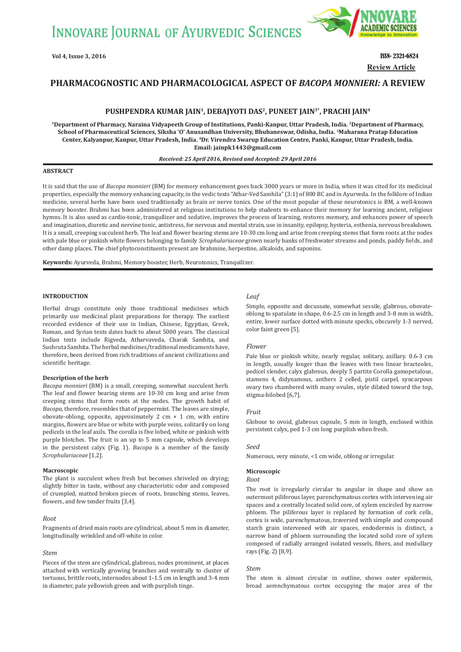

**Review Article**

# **PHARMACOGNOSTIC AND PHARMACOLOGICAL ASPECT OF** *BACOPA MONNIERI:* **A REVIEW**

# PUSHPENDRA KUMAR JAIN<sup>1</sup>, DEBAJYOTI DAS<sup>2</sup>, PUNEET JAIN<sup>3\*</sup>, PRACHI JAIN<sup>4</sup>

**1Department of Pharmacy, Naraina Vidyapeeth Group of Institutions, Panki-Kanpur, Uttar Pradesh, India. 2Department of Pharmacy, School of Pharmaceutical Sciences, Siksha 'O' Anusandhan University, Bhubaneswar, Odisha, India. 3Maharana Pratap Education Center, Kalyanpur, Kanpur, Uttar Pradesh, India. 4Dr. Virendra Swarup Education Centre, Panki, Kanpur, Uttar Pradesh, India. Email: jainpk1443@gmail.com**

### *Received: 25 April 2016, Revised and Accepted: 29 April 2016*

### **ABSTRACT**

It is said that the use of *Bacopa monnieri* (BM) for memory enhancement goes back 3000 years or more in India, when it was cited for its medicinal properties, especially the memory enhancing capacity, in the vedic texts "Athar-Ved Samhila" (3:1) of 800 BC and in Ayurveda. In the folklore of Indian medicine, several herbs have been used traditionally as brain or nerve tonics. One of the most popular of these neurotonics is BM, a well-known memory booster. Brahmi has been administered at religious institutions to help students to enhance their memory for learning ancient, religious hymns. It is also used as cardio-tonic, tranquilizer and sedative, improves the process of learning, restores memory, and enhances power of speech and imagination, diuretic and nervine tonic, antistress, for nervous and mental strain, use in insanity, epilepsy, hysteria, esthenia, nervous breakdown. It is a small, creeping succulent herb. The leaf and flower bearing stems are 10-30 cm long and arise from creeping stems that form roots at the nodes with pale blue or pinkish white flowers belonging to family *Scrophulariaceae* grown nearly banks of freshwater streams and ponds, paddy fields, and other damp places. The chief phytoconstituents present are brahmine, herpestine, alkaloids, and saponins.

**Keywords:** Ayurveda, Brahmi, Memory booster, Herb, Neurotonics, Tranquilizer.

# **INTRODUCTION**

Herbal drugs constitute only those traditional medicines which primarily use medicinal plant preparations for therapy. The earliest recorded evidence of their use in Indian, Chinese, Egyptian, Greek, Roman, and Syrian texts dates back to about 5000 years. The classical Indian texts include Rigveda, Atharvaveda, Charak Samhita, and Sushruta Samhita. The herbal medicines/traditional medicaments have, therefore, been derived from rich traditions of ancient civilizations and scientific heritage.

### **Description of the herb**

*Bacopa monnieri* (BM) is a small, creeping, somewhat succulent herb. The leaf and flower bearing stems are 10-30 cm long and arise from creeping stems that form roots at the nodes. The growth habit of *Bacopa*, therefore, resembles that of peppermint. The leaves are simple, obovate-oblong, opposite, approximately 2 cm × 1 cm, with entire margins, flowers are blue or white with purple veins, solitarily on long pedicels in the leaf axils. The corolla is five lobed, white or pinkish with purple blotches. The fruit is an up to 5 mm capsule, which develops in the persistent calyx (Fig. 1). *Bacopa* is a member of the family *Scrophulariaceae* [1,2].

#### **Macroscopic**

The plant is succulent when fresh but becomes shriveled on drying; slightly bitter in taste, without any characteristic odor and composed of crumpled, matted broken pieces of roots, branching stems, leaves, flowers, and few tender fruits [3,4].

### *Root*

Fragments of dried main roots are cylindrical, about 5 mm in diameter, longitudinally wrinkled and off-white in color.

### *Stem*

Pieces of the stem are cylindrical, glabrous, nodes prominent, at places attached with vertically growing branches and ventrally to cluster of tortuous, brittle roots, internodes about 1-1.5 cm in length and 3-4 mm in diameter, pale yellowish green and with purplish tinge.

### *Leaf*

Simple, opposite and decussate, somewhat sessile, glabrous, obovateoblong to spatulate in shape, 0.6-2.5 cm in length and 3-8 mm in width, entire, lower surface dotted with minute specks, obscurely 1-3 nerved, color faint green [5].

#### *Flower*

Pale blue or pinkish white, nearly regular, solitary, axillary. 0.6-3 cm in length, usually longer than the leaves with two linear bracteoles, pedicel slender, calyx glabrous, deeply 5 partite Corolla gamopetalous, stamens 4, didynamous, anthers 2 celled, pistil carpel, syncarpous ovary two chambered with many ovules, style dilated toward the top, stigma-bilobed [6,7].

#### *Fruit*

Globose to ovoid, glabrous capsule, 5 mm in length, enclosed within persistent calyx, ped 1-3 cm long purplish when fresh.

#### *Seed*

Numerous, very minute, <1 cm wide, oblong or irregular.

### **Microscopic**

### *Root*

The root is irregularly circular to angular in shape and show an outermost piliferous layer, parenchymatous cortex with intervening air spaces and a centrally located solid core, of xylem encircled by narrow phloem. The piliferous layer is replaced by formation of cork cells, cortex is wide, parenchymatous, traversed with simple and compound starch grain intervened with air spaces, endodermis is distinct, a narrow band of phloem surrounding the located solid core of xylem composed of radially arranged isolated vessels, fibers, and medullary rays (Fig. 2) [8,9].

# *Stem*

The stem is almost circular in outline, shows outer epidermis, broad aerenchymatous cortex occupying the major area of the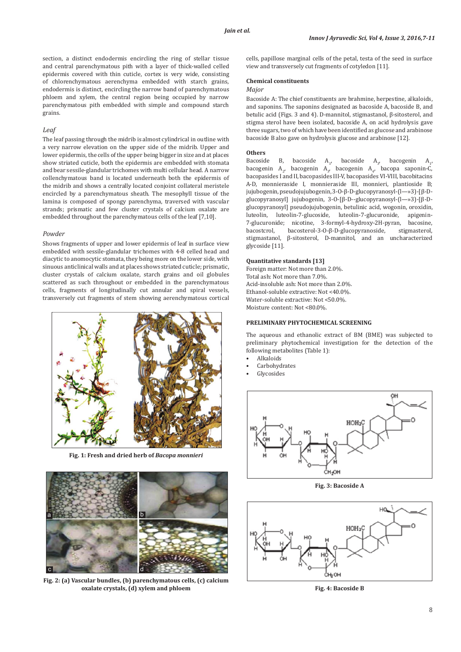section, a distinct endodermis encircling the ring of stellar tissue and central parenchymatous pith with a layer of thick-walled celled epidermis covered with thin cuticle, cortex is very wide, consisting of chlorenchymatous aerenchyma embedded with starch grains, endodermis is distinct, encircling the narrow band of parenchymatous phloem and xylem, the central region being occupied by narrow parenchymatous pith embedded with simple and compound starch grains.

### *Leaf*

The leaf passing through the midrib is almost cylindrical in outline with a very narrow elevation on the upper side of the midrib. Upper and lower epidermis, the cells of the upper being bigger in size and at places show striated cuticle, both the epidermis are embedded with stomata and bear sessile-glandular trichomes with multi cellular head. A narrow collenchymatous band is located underneath both the epidermis of the midrib and shows a centrally located conjoint collateral meristele encircled by a parenchymatous sheath. The mesophyll tissue of the lamina is composed of spongy parenchyma, traversed with vascular strands; prismatic and few cluster crystals of calcium oxalate are embedded throughout the parenchymatous cells of the leaf [7,10].

### *Powder*

Shows fragments of upper and lower epidermis of leaf in surface view embedded with sessile-glandular trichomes with 4-8 celled head and diacytic to anomocytic stomata, they being more on the lower side, with sinuous anticlinical walls and at places shows striated cuticle; prismatic, cluster crystals of calcium oxalate, starch grains and oil globules scattered as such throughout or embedded in the parenchymatous cells, fragments of longitudinally cut annular and spiral vessels, transversely cut fragments of stem showing aerenchymatous cortical



**Fig. 1: Fresh and dried herb of** *Bacopa monnieri*



**Fig. 2: (a) Vascular bundles, (b) parenchymatous cells, (c) calcium oxalate crystals, (d) xylem and phloem**

cells, papillose marginal cells of the petal, testa of the seed in surface view and transversely cut fragments of cotyledon [11].

# **Chemical constituents**

# *Major*

Bacoside A: The chief constituents are brahmine, herpestine, alkaloids, and saponins. The saponins designated as bacoside A, bacoside B, and betulic acid (Figs. 3 and 4). D-mannitol, stigmastanol, β-sitosterol, and stigma sterol have been isolated, bacoside A, on acid hydrolysis gave three sugars, two of which have been identified as glucose and arabinose bacoside B also gave on hydrolysis glucose and arabinose [12].

#### **Others**

Bacoside B, bacoside  $A_1$ , bacoside  $A_3$ , bacogenin  $A_1$ , bacogenin  $A_{2}$ , bacogenin  $A_{3}$ , bacogenin  $A_{4}$ , bacopa saponin-C, bacopasides I and II, bacopasides III-V, bacopasides VI-VIII, bacobitacins A-D, monnieraside I, monnieraside III, monnieri, plantioside B; jujubogenin, pseudojujubogenin, 3-O-β-D-glucopyranosyl-(l—»3)-[β-Dglucopyranosyl] jujubogenin, 3-O-[β-D--glucopyranosyl-(l—»3)-[β-Dglucopyranosyl] pseudojujubogenin, betulinic acid, wogonin, oroxidin, luteolin, luteolin-7-glucoside, luteolin-7-glucuronide, apigenin-7-glucuronide; nicotine, 3-formyl-4-hydroxy-2H-pyran, bacosine, bacostcrol, bacosterol-3-O-β-D-glucopyranoside, stigmasterol, stigmastanol, β-sitosterol, D-mannitol, and an uncharacterized glycoside [11].

### **Quantitative standards [13]**

Foreign matter: Not more than 2.0%. Total ash: Not more than 7.0%. Acid-insoluble ash: Not more than 2.0%. Ethanol-soluble extractive: Not <40.0%. Water-soluble extractive: Not <50.0%. Moisture content: Not <80.0%.

# **PRELIMINARY PHYTOCHEMICAL SCREENING**

The aqueous and ethanolic extract of BM (BME) was subjected to preliminary phytochemical investigation for the detection of the following metabolites (Table 1):

- Alkaloids
- **Carbohydrates**
- **Glycosides**



**Fig. 3: Bacoside A**



**Fig. 4: Bacoside B**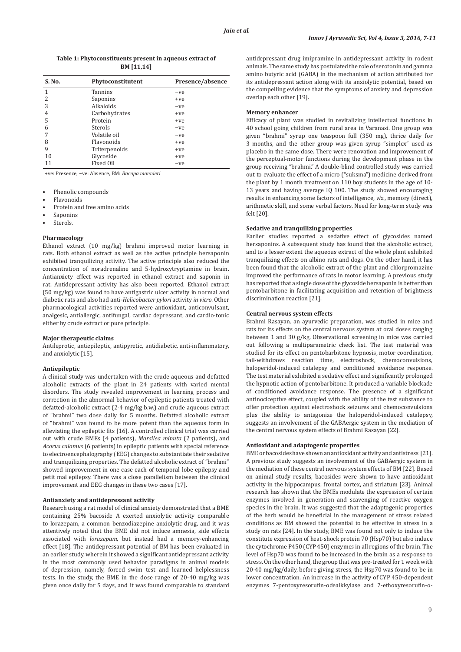# **Table 1: Phytoconstituents present in aqueous extract of BM [11,14]**

| S. No.                   | Phytoconstitutent | Presence/absence |
|--------------------------|-------------------|------------------|
| 1                        | Tannins           | -ve              |
| $\overline{\mathcal{L}}$ | Saponins          | $+ve$            |
| 3                        | Alkaloids         | $-ve$            |
| 4                        | Carbohydrates     | $+ve$            |
| 5                        | Protein           | $+ve$            |
| 6                        | Sterols           | -ve              |
|                          | Volatile oil      | $-ve$            |
| 8                        | Flavonoids        | $+ve$            |
| 9                        | Triterpenoids     | +ye              |
| 10                       | Glycoside         | +ye              |
| 11                       | Fixed Oil         | -ve              |

+ve: Presence, −ve: Absence, BM: *Bacopa monnieri*

- Phenolic compounds
- Flavonoids
- Protein and free amino acids
- **Saponins**
- Sterols.

#### **Pharmacology**

Ethanol extract (10 mg/kg) brahmi improved motor learning in rats. Both ethanol extract as well as the active principle hersaponin exhibited tranquilizing activity. The active principle also reduced the concentration of noradrenaline and 5-hydroxytryptamine in brain. Antianxiety effect was reported in ethanol extract and saponin in rat. Antidepressant activity has also been reported. Ethanol extract (50 mg/kg) was found to have antigastric ulcer activity in normal and diabetic rats and also had anti*-Helicobacter pylori* activity *in vitro.* Other pharmacological activities reported were antioxidant, anticonvulsant, analgesic, antiallergic, antifungal, cardiac depressant, and cardio-tonic either by crude extract or pure principle.

#### **Major therapeutic claims**

Antileprotic, antiepileptic, antipyretic, antidiabetic, anti-inflammatory, and anxiolytic [15].

### **Antiepileptic**

A clinical study was undertaken with the crude aqueous and defatted alcoholic extracts of the plant in 24 patients with varied mental disorders. The study revealed improvement in learning process and correction in the abnormal behavior of epileptic patients treated with defatted-alcoholic extract (2-4 mg/kg b.w.) and crude aqueous extract of "brahmi" two dose daily for 5 months. Defatted alcoholic extract of "brahmi" was found to be more potent than the aqueous form in alleviating the epileptic fits [16]. A controlled clinical trial was carried out with crude BMEs (4 patients), *Marsilea minuta* (2 patients), and *Acorus calamus* (6 patients) in epileptic patients with special reference to electroencephalography (EEG) changes to substantiate their sedative and tranquilizing properties. The defatted alcoholic extract of "brahmi" showed improvement in one case each of temporal lobe epilepsy and petit mal epilepsy. There was a close parallelism between the clinical improvement and EEG changes in these two cases [17].

### **Antianxiety and antidepressant activity**

Research using a rat model of clinical anxiety demonstrated that a BME containing 25% bacoside A exerted anxiolytic activity comparable to lorazepam, a common benzodiazepine anxiolytic drug, and it was attentively noted that the BME did not induce amnesia, side effects associated with *lorazepam*, but instead had a memory-enhancing effect [18]. The antidepressant potential of BM has been evaluated in an earlier study, wherein it showed a significant antidepressant activity in the most commonly used behavior paradigms in animal models of depression, namely, forced swim test and learned helplessness tests. In the study, the BME in the dose range of 20-40 mg/kg was given once daily for 5 days, and it was found comparable to standard antidepressant drug imipramine in antidepressant activity in rodent animals. The same study has postulated the role of serotonin and gamma amino butyric acid (GABA) in the mechanism of action attributed for its antidepressant action along with its anxiolytic potential, based on the compelling evidence that the symptoms of anxiety and depression overlap each other [19].

#### **Memory enhancer**

Efficacy of plant was studied in revitalizing intellectual functions in 40 school going children from rural area in Varanasi. One group was given "brahmi" syrup one teaspoon full (350 mg), thrice daily for 3 months, and the other group was given syrup "simplex" used as placebo in the same dose. There were renovation and improvement of the perceptual-motor functions during the development phase in the group receiving "brahmi." A double-blind controlled study was carried out to evaluate the effect of a micro ("suksma") medicine derived from the plant by 1 month treatment on 110 boy students in the age of 10- 13 years and having average IQ 100. The study showed encouraging results in enhancing some factors of intelligence, *viz*., memory (direct), arithmetic skill, and some verbal factors. Need for long-term study was felt [20].

### **Sedative and tranquilizing properties**

Earlier studies reported a sedative effect of glycosides named hersaponins. A subsequent study has found that the alcoholic extract, and to a lesser extent the aqueous extract of the whole plant exhibited tranquilizing effects on albino rats and dogs. On the other hand, it has been found that the alcoholic extract of the plant and chlorpromazine improved the performance of rats in motor learning. A previous study has reported that a single dose of the glycoside hersaponin is better than pentobarbitone in facilitating acquisition and retention of brightness discrimination reaction [21].

#### **Central nervous system effects**

Brahmi Rasayan, an ayurvedic preparation, was studied in mice and rats for its effects on the central nervous system at oral doses ranging between 1 and 30 g/kg. Observational screening in mice was carried out following a multiparametric check list. The test material was studied for its effect on pentobarbitone hypnosis, motor coordination, tail-withdraws reaction time, electroshock, chemoconvulsions, haloperidol-induced catalepsy and conditioned avoidance response. The test material exhibited a sedative effect and significantly prolonged the hypnotic action of pentobarbitone. It produced a variable blockade of conditioned avoidance response. The presence of a significant antinoclceptive effect, coupled with the ability of the test substance to offer protection against electroshock seizures and chemoconvulsions plus the ability to antagonize the haloperidol-induced catalepsy, suggests an involvement of the GABAergic system in the mediation of the central nervous system effects of Brahmi Rasayan [22].

### **Antioxidant and adaptogenic properties**

BME or bacosides have shown an antioxidant activity and antistress [21]. A previous study suggests an involvement of the GABAergic system in the mediation of these central nervous system effects of BM [22]. Based on animal study results, bacosides were shown to have antioxidant activity in the hippocampus, frontal cortex, and striatum [23]. Animal research has shown that the BMEs modulate the expression of certain enzymes involved in generation and scavenging of reactive oxygen species in the brain. It was suggested that the adaptogenic properties of the herb would be beneficial in the management of stress related conditions as BM showed the potential to be effective in stress in a study on rats [24]. In the study, BME was found not only to induce the constitute expression of heat-shock protein 70 (Hsp70) but also induce the cytochrome P450 (CYP 450) enzymes in all regions of the brain. The level of Hsp70 was found to be increased in the brain as a response to stress. On the other hand, the group that was pre-treated for 1 week with 20-40 mg/kg/daily, before giving stress, the Hsp70 was found to be in lower concentration. An increase in the activity of CYP 450-dependent enzymes 7-pentoxyresorufin-odealkkylase and 7-ethoxyresorufin-o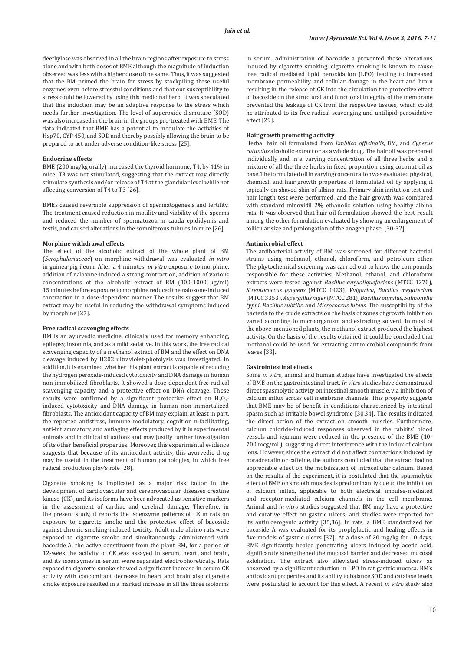deethylase was observed in all the brain regions after exposure to stress alone and with both doses of BME although the magnitude of induction observed was less with a higher dose of the same. Thus, it was suggested that the BM primed the brain for stress by stockpiling these useful enzymes even before stressful conditions and that our susceptibility to stress could be lowered by using this medicinal herb. It was speculated that this induction may be an adaptive response to the stress which needs further investigation. The level of superoxide dismutase (SOD) was also increased in the brain in the groups pre-treated with BME*.* The data indicated that BME has a potential to modulate the activities of Hsp70, CYP 450, and SOD and thereby possibly allowing the brain to be prepared to act under adverse condition-like stress [25].

### **Endocrine effects**

BME (200 mg/kg orally) increased the thyroid hormone, T4, by 41% in mice. T3 was not stimulated, suggesting that the extract may directly stimulate synthesis and/or release of T4 at the glandular level while not affecting conversion of T4 to T3 [26].

BMEs caused reversible suppression of spermatogenesis and fertility. The treatment caused reduction in motility and viability of the sperms and reduced the number of spermatozoa in cauda epididymis and testis, and caused alterations in the somniferous tubules in mice [26].

### **Morphine withdrawal effects**

The effect of the alcoholic extract of the whole plant of BM (*Scrophulariaceae*) on morphine withdrawal was evaluated *in vitro* in guinea-pig ileum. After a 4 minutes, *in vitro* exposure to morphine, addition of naloxone-induced a strong contraction, addition of various concentrations of the alcoholic extract of BM (100-1000 μg/ml) 15 minutes before exposure to morphine reduced the naloxone-induced contraction in a dose-dependent manner The results suggest that BM extract may be useful in reducing the withdrawal symptoms induced by morphine [27].

# **Free radical scavenging effects**

BM is an ayurvedic medicine, clinically used for memory enhancing, epilepsy, insomnia, and as a mild sedative. In this work, the free radical scavenging capacity of a methanol extract of BM and the effect on DNA cleavage induced by H202 ultraviolet-photolysis was investigated. In addition, it is examined whether this plant extract is capable of reducing the hydrogen peroxide-induced cytotoxicity and DNA damage in human non-immobilized fibroblasts. It showed a dose-dependent free radical scavenging capacity and a protective effect on DNA cleavage. These results were confirmed by a significant protective effect on  $H_2O_2$ induced cytotoxicity and DNA damage in human non-immortalized fibroblasts. The antioxidant capacity of BM may explain, at least in part, the reported antistress, immune modulatory, cognition n-facilitating, anti-inflammatory, and antiaging effects produced by it in experimental animals and in clinical situations and may justify further investigation of its other beneficial properties. Moreover, this experimental evidence suggests that because of its antioxidant activity, this ayurvedic drug may be useful in the treatment of human pathologies, in which free radical production play's role [28].

Cigarette smoking is implicated as a major risk factor in the development of cardiovascular and cerebrovascular diseases creatine kinase (CK), and its isoforms have beer advocated as sensitive markers in the assessment of cardiac and cerebral damage. Therefore, in the present study, it reports the isoenzyme patterns of CK in rats on exposure to cigarette smoke and the protective effect of bacoside against chronic smoking-induced toxicity. Adult male albino rats were exposed to cigarette smoke and simultaneously administered with bacoside A, the active constituent from the plant BM, for a period of 12-week the activity of CK was assayed in serum, heart, and brain, and its isoenzymes in serum were separated electrophoretically. Rats exposed to cigarette smoke showed a significant increase in serum CK activity with concomitant decrease in heart and brain also cigarette smoke exposure resulted in a marked increase in all the three isoforms

in serum. Administration of bacoside a prevented these alterations induced by cigarette smoking, cigarette smoking is known to cause free radical mediated lipid peroxidation (LPO) leading to increased membrane permeability and cellular damage in the heart and brain resulting in the release of CK into the circulation the protective effect of bacoside on the structural and functional integrity of the membrane prevented the leakage of CK from the respective tissues, which could he attributed to its free radical scavenging and antilipid peroxidative effect [29].

### **Hair growth promoting activity**

Herbal hair oil formulated from *Emblica officinalis,* BM*,* and *Cyperus rotundus* alcoholic extract or as a whole drug*.* The hair oil was prepared individually and in a varying concentration of all three herbs and a mixture of all the three herbs in fixed proportion using coconut oil as base. The formulated oil in varying concentration was evaluated physical, chemical, and hair growth properties of formulated oil by applying it topically on shaved skin of albino rats. Primary skin irritation test and hair length test were performed, and the hair growth was compared with standard minoxidil 2% ethanolic solution using healthy albino rats. It was observed that hair oil formulation showed the best result among the other formulation evaluated by showing an enlargement of follicular size and prolongation of the anagen phase [30-32].

### **Antimicrobial effect**

The antibacterial activity of BM was screened for different bacterial strains using methanol, ethanol, chloroform, and petroleum ether. The phytochemical screening was carried out to know the compounds responsible for these activities. Methanol, ethanol, and chloroform extracts were tested against *Bacillus amyloliquefaciens* (MTCC 1270), *Streptococcus pyogens* (MTCC 1923), *Vulgarica*, *Bacillus megaterium*  (MTCC 3353), *Aspergillus niger* (MTCC 281), *Bacillus pumilus*, *Salmonella typhi*, *Bacillus subtilis*, and *Micrococcus luteus*. The susceptibility of the bacteria to the crude extracts on the basis of zones of growth inhibition varied according to microorganism and extracting solvent. In most of the above-mentioned plants, the methanol extract produced the highest activity. On the basis of the results obtained, it could be concluded that methanol could be used for extracting antimicrobial compounds from leaves [33].

# **Gastrointestinal effects**

Some *in vitro*, animal and human studies have investigated the effects of BME on the gastrointestinal tract. *In vitro* studies have demonstrated direct spasmolytic activity on intestinal smooth muscle, via inhibition of calcium influx across cell membrane channels. This property suggests that BME may be of benefit in conditions characterized by intestinal spasm such as irritable bowel syndrome [30,34]. The results indicated the direct action of the extract on smooth muscles. Furthermore, calcium chloride-induced responses observed in the rabbits' blood vessels and jejunum were reduced in the presence of the BME (10- 700 mcg/mL), suggesting direct interference with the influx of calcium ions. However, since the extract did not affect contractions induced by noradrenalin or caffeine, the authors concluded that the extract had no appreciable effect on the mobilization of intracellular calcium. Based on the results of the experiment, it is postulated that the spasmolytic effect of BME on smooth muscles is predominantly due to the inhibition of calcium influx, applicable to both electrical impulse-mediated and receptor-mediated calcium channels in the cell membrane. Animal and *in vitro* studies suggested that BM may have a protective and curative effect on gastric ulcers, and studies were reported for its antiulcerogenic activity [35,36]. In rats, a BME standardized for bacoside A was evaluated for its prophylactic and healing effects in five models of gastric ulcers [37]. At a dose of 20 mg/kg for 10 days, BME significantly healed penetrating ulcers induced by acetic acid, significantly strengthened the mucosal barrier and decreased mucosal exfoliation. The extract also alleviated stress-induced ulcers as observed by a significant reduction in LPO in rat gastric mucosa. BM's antioxidant properties and its ability to balance SOD and catalase levels were postulated to account for this effect. A recent *in vitro* study also